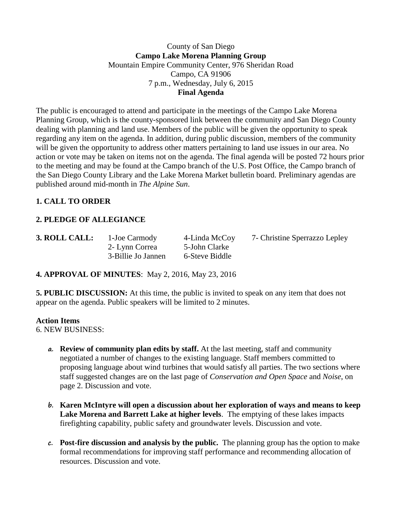## County of San Diego **Campo Lake Morena Planning Group** Mountain Empire Community Center, 976 Sheridan Road Campo, CA 91906 7 p.m., Wednesday, July 6, 2015 **Final Agenda**

The public is encouraged to attend and participate in the meetings of the Campo Lake Morena Planning Group, which is the county-sponsored link between the community and San Diego County dealing with planning and land use. Members of the public will be given the opportunity to speak regarding any item on the agenda. In addition, during public discussion, members of the community will be given the opportunity to address other matters pertaining to land use issues in our area. No action or vote may be taken on items not on the agenda. The final agenda will be posted 72 hours prior to the meeting and may be found at the Campo branch of the U.S. Post Office, the Campo branch of the San Diego County Library and the Lake Morena Market bulletin board. Preliminary agendas are published around mid-month in *The Alpine Sun*.

# **1. CALL TO ORDER**

# **2. PLEDGE OF ALLEGIANCE**

2- Lynn Correa 5-John Clarke 3-Billie Jo Jannen 6-Steve Biddle

**3. ROLL CALL:** 1**-**Joe Carmody 4-Linda McCoy 7- Christine Sperrazzo Lepley

**4. APPROVAL OF MINUTES**: May 2, 2016, May 23, 2016

**5. PUBLIC DISCUSSION:** At this time, the public is invited to speak on any item that does not appear on the agenda. Public speakers will be limited to 2 minutes.

#### **Action Items**

6. NEW BUSINESS:

- **a. Review of community plan edits by staff.** At the last meeting, staff and community negotiated a number of changes to the existing language. Staff members committed to proposing language about wind turbines that would satisfy all parties. The two sections where staff suggested changes are on the last page of *Conservation and Open Space* and *Noise*, on page 2. Discussion and vote.
- **b. Karen McIntyre will open a discussion about her exploration of ways and means to keep Lake Morena and Barrett Lake at higher levels**. The emptying of these lakes impacts firefighting capability, public safety and groundwater levels. Discussion and vote.
- **c. Post-fire discussion and analysis by the public.** The planning group has the option to make formal recommendations for improving staff performance and recommending allocation of resources. Discussion and vote.